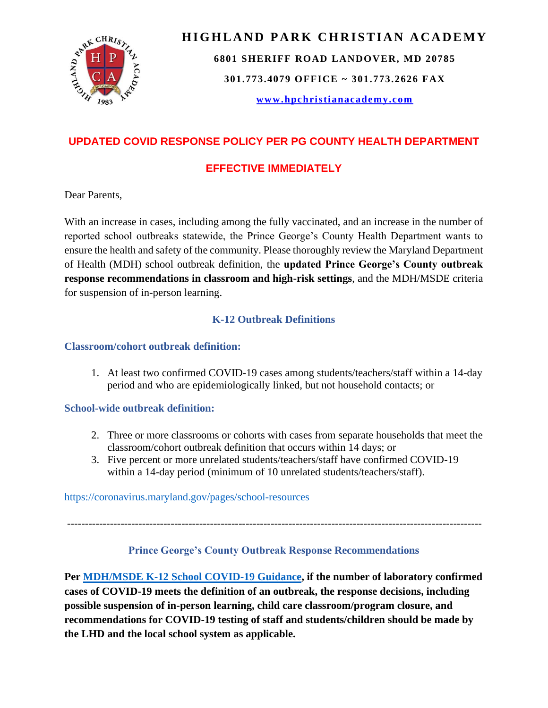

## **HIGHLAND PARK CHRISTIAN ACADEMY**

**6801 SHERIFF ROAD LANDOVER, MD 20785**

**301.773.4079 OFFICE ~ 301.773.2626 FAX**

**[www.hpchristianacademy.com](http://www.hpchristianacademy.com/)**

## **UPDATED COVID RESPONSE POLICY PER PG COUNTY HEALTH DEPARTMENT**

### **EFFECTIVE IMMEDIATELY**

Dear Parents,

With an increase in cases, including among the fully vaccinated, and an increase in the number of reported school outbreaks statewide, the Prince George's County Health Department wants to ensure the health and safety of the community. Please thoroughly review the Maryland Department of Health (MDH) school outbreak definition, the **updated Prince George's County outbreak response recommendations in classroom and high-risk settings**, and the MDH/MSDE criteria for suspension of in-person learning.

#### **K-12 Outbreak Definitions**

#### **Classroom/cohort outbreak definition:**

1. At least two confirmed COVID-19 cases among students/teachers/staff within a 14-day period and who are epidemiologically linked, but not household contacts; or

#### **School-wide outbreak definition:**

- 2. Three or more classrooms or cohorts with cases from separate households that meet the classroom/cohort outbreak definition that occurs within 14 days; or
- 3. Five percent or more unrelated students/teachers/staff have confirmed COVID-19 within a 14-day period (minimum of 10 unrelated students/teachers/staff).

#### [https://coronavirus.maryland.gov/pages/school-resources](https://gcc02.safelinks.protection.outlook.com/?url=https%3A%2F%2Fcoronavirus.maryland.gov%2Fpages%2Fschool-resources&data=04%7C01%7Ccjyoung%40co.pg.md.us%7C2893525cb39c4d36e2d508d9c001a0a9%7C4146bddaddc14d2aa1b21a64cc3c837b%7C0%7C0%7C637751935483479784%7CUnknown%7CTWFpbGZsb3d8eyJWIjoiMC4wLjAwMDAiLCJQIjoiV2luMzIiLCJBTiI6Ik1haWwiLCJXVCI6Mn0%3D%7C3000&sdata=Be6YJ8ogI0KtUFOO8lV89hp2xZY5yhx60oWFlb9Jbk8%3D&reserved=0)

--------------------------------------------------------------------------------------------------------------------

#### **Prince George's County Outbreak Response Recommendations**

**Per [MDH/MSDE K-12 School COVID-19 Guidance,](https://gcc02.safelinks.protection.outlook.com/?url=https%3A%2F%2Fhealth.maryland.gov%2Fphpa%2FDocuments%2FK12%2520School%2520and%2520Childcare%2520COVID-19%2520Guidance_10.27.21.pdf&data=04%7C01%7Ccjyoung%40co.pg.md.us%7C2893525cb39c4d36e2d508d9c001a0a9%7C4146bddaddc14d2aa1b21a64cc3c837b%7C0%7C0%7C637751935483479784%7CUnknown%7CTWFpbGZsb3d8eyJWIjoiMC4wLjAwMDAiLCJQIjoiV2luMzIiLCJBTiI6Ik1haWwiLCJXVCI6Mn0%3D%7C3000&sdata=9WvcglJDejQ%2BWO1WE1tgL6RsV8liWiNeMDeE1h7FJrQ%3D&reserved=0) if the number of laboratory confirmed cases of COVID-19 meets the definition of an outbreak, the response decisions, including possible suspension of in-person learning, child care classroom/program closure, and recommendations for COVID-19 testing of staff and students/children should be made by the LHD and the local school system as applicable.**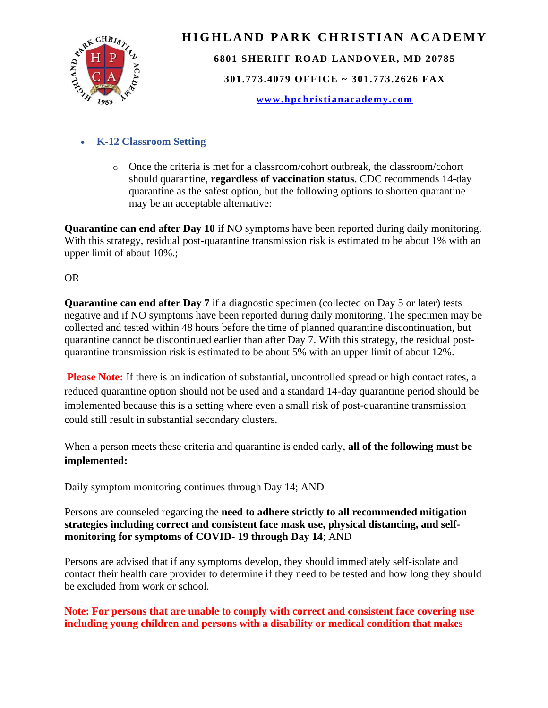

# **HIGHLAND PARK CHRISTIAN ACADEMY 6801 SHERIFF ROAD LANDOVER, MD 20785 301.773.4079 OFFICE ~ 301.773.2626 FAX**

**[www.hpchristianacademy.com](http://www.hpchristianacademy.com/)**

#### • **K-12 Classroom Setting**

 $\circ$  Once the criteria is met for a classroom/cohort outbreak, the classroom/cohort should quarantine, **regardless of vaccination status**. CDC recommends 14-day quarantine as the safest option, but the following options to shorten quarantine may be an acceptable alternative:

**Quarantine can end after Day 10** if NO symptoms have been reported during daily monitoring. With this strategy, residual post-quarantine transmission risk is estimated to be about 1% with an upper limit of about 10%.;

#### OR

**Quarantine can end after Day 7** if a diagnostic specimen (collected on Day 5 or later) tests negative and if NO symptoms have been reported during daily monitoring. The specimen may be collected and tested within 48 hours before the time of planned quarantine discontinuation, but quarantine cannot be discontinued earlier than after Day 7. With this strategy, the residual postquarantine transmission risk is estimated to be about 5% with an upper limit of about 12%.

**Please Note:** If there is an indication of substantial, uncontrolled spread or high contact rates, a reduced quarantine option should not be used and a standard 14-day quarantine period should be implemented because this is a setting where even a small risk of post-quarantine transmission could still result in substantial secondary clusters.

When a person meets these criteria and quarantine is ended early, **all of the following must be implemented:** 

Daily symptom monitoring continues through Day 14; AND

Persons are counseled regarding the **need to adhere strictly to all recommended mitigation strategies including correct and consistent face mask use, physical distancing, and selfmonitoring for symptoms of COVID- 19 through Day 14**; AND

Persons are advised that if any symptoms develop, they should immediately self-isolate and contact their health care provider to determine if they need to be tested and how long they should be excluded from work or school.

#### **Note: For persons that are unable to comply with correct and consistent face covering use including young children and persons with a disability or medical condition that makes**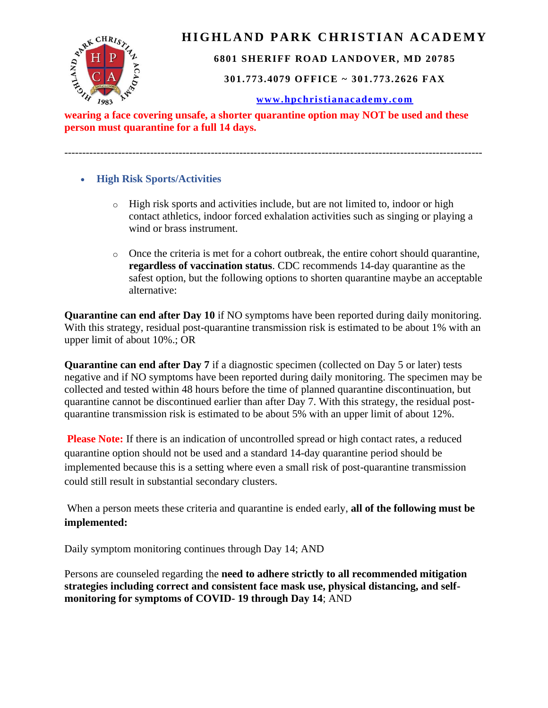

### **HIGHLAND PARK CHRISTIAN ACADEMY**

#### **6801 SHERIFF ROAD LANDOVER, MD 20785**

**301.773.4079 OFFICE ~ 301.773.2626 FAX**

#### **[www.hpchristianacademy.com](http://www.hpchristianacademy.com/)**

**person must quarantine for a full 14 days.**

---------------------------------------------------------------------------------------------------------------------

- **High Risk Sports/Activities**
	- $\circ$  High risk sports and activities include, but are not limited to, indoor or high contact athletics, indoor forced exhalation activities such as singing or playing a wind or brass instrument.
	- o Once the criteria is met for a cohort outbreak, the entire cohort should quarantine, **regardless of vaccination status**. CDC recommends 14-day quarantine as the safest option, but the following options to shorten quarantine maybe an acceptable alternative:

**Quarantine can end after Day 10** if NO symptoms have been reported during daily monitoring. With this strategy, residual post-quarantine transmission risk is estimated to be about 1% with an upper limit of about 10%.; OR

**Quarantine can end after Day 7** if a diagnostic specimen (collected on Day 5 or later) tests negative and if NO symptoms have been reported during daily monitoring. The specimen may be collected and tested within 48 hours before the time of planned quarantine discontinuation, but quarantine cannot be discontinued earlier than after Day 7. With this strategy, the residual postquarantine transmission risk is estimated to be about 5% with an upper limit of about 12%.

**Please Note:** If there is an indication of uncontrolled spread or high contact rates, a reduced quarantine option should not be used and a standard 14-day quarantine period should be implemented because this is a setting where even a small risk of post-quarantine transmission could still result in substantial secondary clusters.

When a person meets these criteria and quarantine is ended early, **all of the following must be implemented:** 

Daily symptom monitoring continues through Day 14; AND

Persons are counseled regarding the **need to adhere strictly to all recommended mitigation strategies including correct and consistent face mask use, physical distancing, and selfmonitoring for symptoms of COVID- 19 through Day 14**; AND